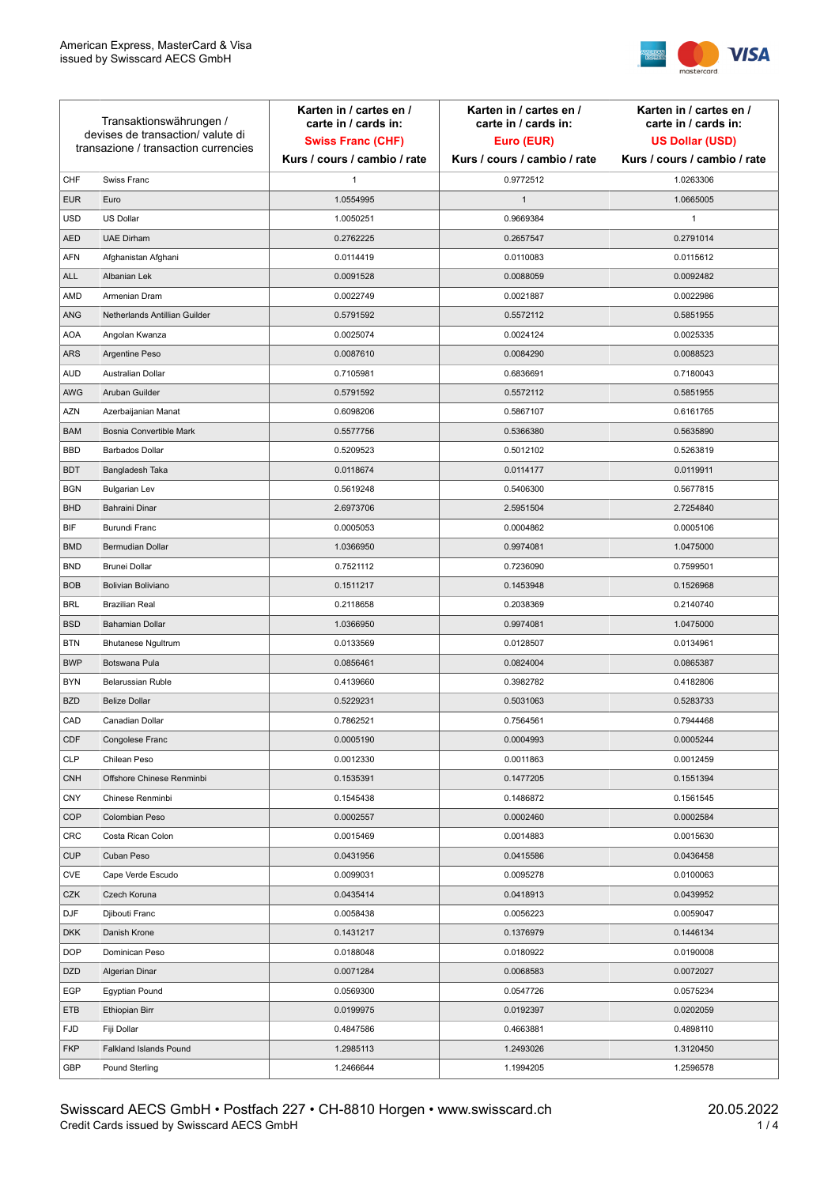

| Transaktionswährungen /<br>devises de transaction/valute di<br>transazione / transaction currencies |                               | Karten in / cartes en /<br>carte in / cards in:<br><b>Swiss Franc (CHF)</b><br>Kurs / cours / cambio / rate | Karten in / cartes en /<br>carte in / cards in:<br>Euro (EUR)<br>Kurs / cours / cambio / rate | Karten in / cartes en /<br>carte in / cards in:<br><b>US Dollar (USD)</b><br>Kurs / cours / cambio / rate |
|-----------------------------------------------------------------------------------------------------|-------------------------------|-------------------------------------------------------------------------------------------------------------|-----------------------------------------------------------------------------------------------|-----------------------------------------------------------------------------------------------------------|
|                                                                                                     |                               |                                                                                                             |                                                                                               |                                                                                                           |
| CHF                                                                                                 | Swiss Franc                   | $\mathbf{1}$                                                                                                | 0.9772512                                                                                     | 1.0263306                                                                                                 |
| <b>EUR</b>                                                                                          | Euro                          | 1.0554995                                                                                                   | $\mathbf{1}$                                                                                  | 1.0665005                                                                                                 |
| <b>USD</b>                                                                                          | <b>US Dollar</b>              | 1.0050251                                                                                                   | 0.9669384                                                                                     | 1                                                                                                         |
| <b>AED</b>                                                                                          | <b>UAE Dirham</b>             | 0.2762225                                                                                                   | 0.2657547                                                                                     | 0.2791014                                                                                                 |
| <b>AFN</b>                                                                                          | Afghanistan Afghani           | 0.0114419                                                                                                   | 0.0110083                                                                                     | 0.0115612                                                                                                 |
| <b>ALL</b>                                                                                          | Albanian Lek                  | 0.0091528                                                                                                   | 0.0088059                                                                                     | 0.0092482                                                                                                 |
| AMD                                                                                                 | Armenian Dram                 | 0.0022749                                                                                                   | 0.0021887                                                                                     | 0.0022986                                                                                                 |
| ANG                                                                                                 | Netherlands Antillian Guilder | 0.5791592                                                                                                   | 0.5572112                                                                                     | 0.5851955                                                                                                 |
| <b>AOA</b>                                                                                          | Angolan Kwanza                | 0.0025074                                                                                                   | 0.0024124                                                                                     | 0.0025335                                                                                                 |
| ARS                                                                                                 | Argentine Peso                | 0.0087610                                                                                                   | 0.0084290                                                                                     | 0.0088523                                                                                                 |
| <b>AUD</b>                                                                                          | Australian Dollar             | 0.7105981                                                                                                   | 0.6836691                                                                                     | 0.7180043                                                                                                 |
| AWG                                                                                                 | Aruban Guilder                | 0.5791592                                                                                                   | 0.5572112                                                                                     | 0.5851955                                                                                                 |
| <b>AZN</b>                                                                                          | Azerbaijanian Manat           | 0.6098206                                                                                                   | 0.5867107                                                                                     | 0.6161765                                                                                                 |
| <b>BAM</b>                                                                                          | Bosnia Convertible Mark       | 0.5577756                                                                                                   | 0.5366380                                                                                     | 0.5635890                                                                                                 |
| <b>BBD</b>                                                                                          | <b>Barbados Dollar</b>        | 0.5209523                                                                                                   | 0.5012102                                                                                     | 0.5263819                                                                                                 |
| <b>BDT</b>                                                                                          | Bangladesh Taka               | 0.0118674                                                                                                   | 0.0114177                                                                                     | 0.0119911                                                                                                 |
| <b>BGN</b>                                                                                          | <b>Bulgarian Lev</b>          | 0.5619248                                                                                                   | 0.5406300                                                                                     | 0.5677815                                                                                                 |
| <b>BHD</b>                                                                                          | Bahraini Dinar                | 2.6973706                                                                                                   | 2.5951504                                                                                     | 2.7254840                                                                                                 |
| BIF                                                                                                 | Burundi Franc                 | 0.0005053                                                                                                   | 0.0004862                                                                                     | 0.0005106                                                                                                 |
| <b>BMD</b>                                                                                          | Bermudian Dollar              | 1.0366950                                                                                                   | 0.9974081                                                                                     | 1.0475000                                                                                                 |
| <b>BND</b>                                                                                          | <b>Brunei Dollar</b>          | 0.7521112                                                                                                   | 0.7236090                                                                                     | 0.7599501                                                                                                 |
| <b>BOB</b>                                                                                          | Bolivian Boliviano            | 0.1511217                                                                                                   | 0.1453948                                                                                     | 0.1526968                                                                                                 |
| <b>BRL</b>                                                                                          | <b>Brazilian Real</b>         | 0.2118658                                                                                                   | 0.2038369                                                                                     | 0.2140740                                                                                                 |
| <b>BSD</b>                                                                                          | <b>Bahamian Dollar</b>        | 1.0366950                                                                                                   | 0.9974081                                                                                     | 1.0475000                                                                                                 |
| <b>BTN</b>                                                                                          | <b>Bhutanese Ngultrum</b>     | 0.0133569                                                                                                   | 0.0128507                                                                                     | 0.0134961                                                                                                 |
| <b>BWP</b>                                                                                          | Botswana Pula                 | 0.0856461                                                                                                   | 0.0824004                                                                                     | 0.0865387                                                                                                 |
| <b>BYN</b>                                                                                          | Belarussian Ruble             | 0.4139660                                                                                                   | 0.3982782                                                                                     | 0.4182806                                                                                                 |
| <b>BZD</b>                                                                                          | <b>Belize Dollar</b>          | 0.5229231                                                                                                   | 0.5031063                                                                                     | 0.5283733                                                                                                 |
| CAD                                                                                                 | Canadian Dollar               | 0.7862521                                                                                                   | 0.7564561                                                                                     | 0.7944468                                                                                                 |
| CDF                                                                                                 | Congolese Franc               | 0.0005190                                                                                                   | 0.0004993                                                                                     | 0.0005244                                                                                                 |
| <b>CLP</b>                                                                                          | Chilean Peso                  | 0.0012330                                                                                                   | 0.0011863                                                                                     | 0.0012459                                                                                                 |
| <b>CNH</b>                                                                                          | Offshore Chinese Renminbi     | 0.1535391                                                                                                   | 0.1477205                                                                                     | 0.1551394                                                                                                 |
| <b>CNY</b>                                                                                          | Chinese Renminbi              | 0.1545438                                                                                                   | 0.1486872                                                                                     | 0.1561545                                                                                                 |
| <b>COP</b>                                                                                          | Colombian Peso                | 0.0002557                                                                                                   | 0.0002460                                                                                     | 0.0002584                                                                                                 |
| CRC                                                                                                 | Costa Rican Colon             | 0.0015469                                                                                                   | 0.0014883                                                                                     | 0.0015630                                                                                                 |
| <b>CUP</b>                                                                                          | Cuban Peso                    | 0.0431956                                                                                                   | 0.0415586                                                                                     | 0.0436458                                                                                                 |
| CVE                                                                                                 | Cape Verde Escudo             | 0.0099031                                                                                                   | 0.0095278                                                                                     | 0.0100063                                                                                                 |
| CZK                                                                                                 | Czech Koruna                  | 0.0435414                                                                                                   | 0.0418913                                                                                     | 0.0439952                                                                                                 |
| <b>DJF</b>                                                                                          | Djibouti Franc                | 0.0058438                                                                                                   | 0.0056223                                                                                     | 0.0059047                                                                                                 |
| <b>DKK</b>                                                                                          | Danish Krone                  | 0.1431217                                                                                                   | 0.1376979                                                                                     | 0.1446134                                                                                                 |
| <b>DOP</b>                                                                                          | Dominican Peso                | 0.0188048                                                                                                   | 0.0180922                                                                                     | 0.0190008                                                                                                 |
| <b>DZD</b>                                                                                          | Algerian Dinar                | 0.0071284                                                                                                   | 0.0068583                                                                                     | 0.0072027                                                                                                 |
| EGP                                                                                                 | Egyptian Pound                | 0.0569300                                                                                                   | 0.0547726                                                                                     | 0.0575234                                                                                                 |
| ETB                                                                                                 | Ethiopian Birr                | 0.0199975                                                                                                   | 0.0192397                                                                                     | 0.0202059                                                                                                 |
| <b>FJD</b>                                                                                          | Fiji Dollar                   | 0.4847586                                                                                                   | 0.4663881                                                                                     | 0.4898110                                                                                                 |
| <b>FKP</b>                                                                                          | Falkland Islands Pound        | 1.2985113                                                                                                   | 1.2493026                                                                                     | 1.3120450                                                                                                 |
| GBP                                                                                                 | Pound Sterling                | 1.2466644                                                                                                   | 1.1994205                                                                                     | 1.2596578                                                                                                 |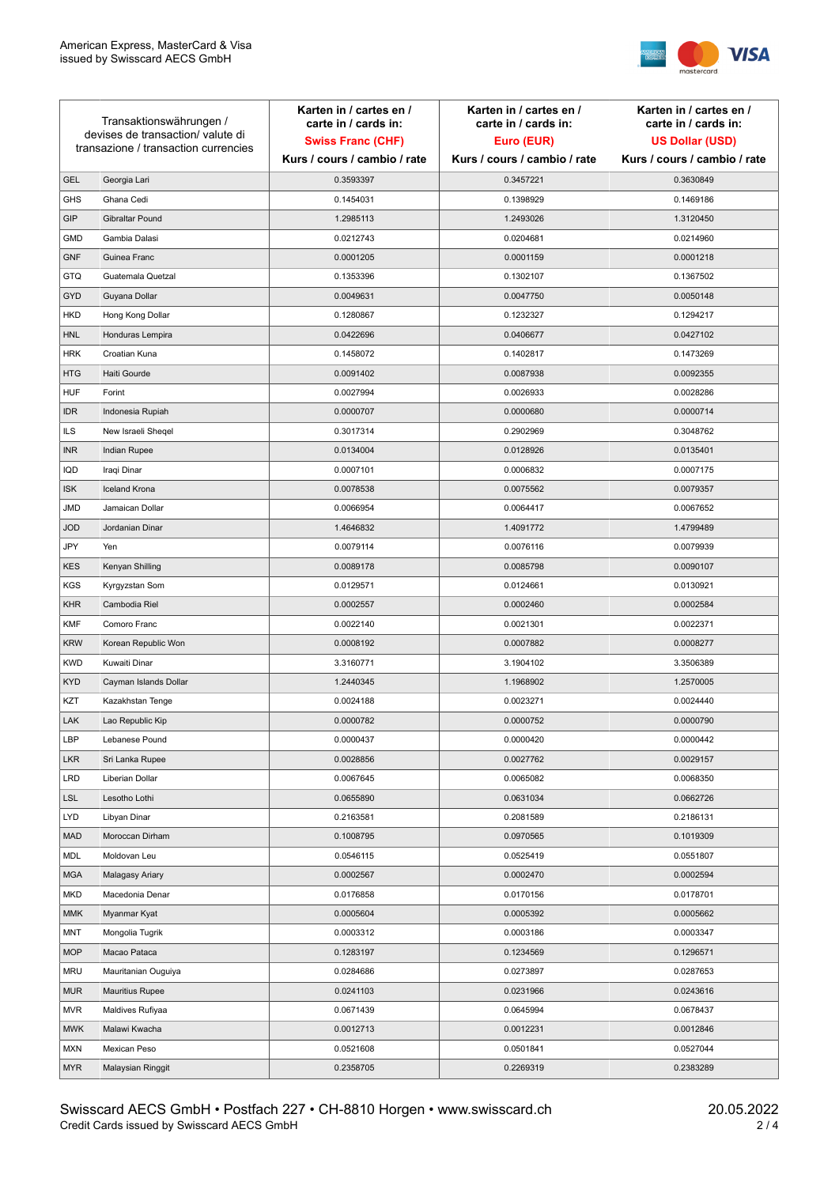

| Transaktionswährungen /<br>devises de transaction/ valute di |                                      | Karten in / cartes en /<br>carte in / cards in: | Karten in / cartes en /<br>carte in / cards in: | Karten in / cartes en /<br>carte in / cards in: |
|--------------------------------------------------------------|--------------------------------------|-------------------------------------------------|-------------------------------------------------|-------------------------------------------------|
|                                                              |                                      | <b>Swiss Franc (CHF)</b>                        | Euro (EUR)                                      | <b>US Dollar (USD)</b>                          |
|                                                              | transazione / transaction currencies | Kurs / cours / cambio / rate                    | Kurs / cours / cambio / rate                    | Kurs / cours / cambio / rate                    |
| <b>GEL</b>                                                   | Georgia Lari                         | 0.3593397                                       | 0.3457221                                       | 0.3630849                                       |
| <b>GHS</b>                                                   | Ghana Cedi                           | 0.1454031                                       | 0.1398929                                       | 0.1469186                                       |
| GIP                                                          | Gibraltar Pound                      | 1.2985113                                       | 1.2493026                                       | 1.3120450                                       |
| <b>GMD</b>                                                   | Gambia Dalasi                        | 0.0212743                                       | 0.0204681                                       | 0.0214960                                       |
| <b>GNF</b>                                                   | Guinea Franc                         | 0.0001205                                       | 0.0001159                                       | 0.0001218                                       |
| GTQ                                                          | Guatemala Quetzal                    | 0.1353396                                       | 0.1302107                                       | 0.1367502                                       |
| <b>GYD</b>                                                   | Guyana Dollar                        | 0.0049631                                       | 0.0047750                                       | 0.0050148                                       |
| <b>HKD</b>                                                   | Hong Kong Dollar                     | 0.1280867                                       | 0.1232327                                       | 0.1294217                                       |
| <b>HNL</b>                                                   | Honduras Lempira                     | 0.0422696                                       | 0.0406677                                       | 0.0427102                                       |
| <b>HRK</b>                                                   | Croatian Kuna                        | 0.1458072                                       | 0.1402817                                       | 0.1473269                                       |
| <b>HTG</b>                                                   | Haiti Gourde                         | 0.0091402                                       | 0.0087938                                       | 0.0092355                                       |
| <b>HUF</b>                                                   | Forint                               | 0.0027994                                       | 0.0026933                                       | 0.0028286                                       |
| <b>IDR</b>                                                   | Indonesia Rupiah                     | 0.0000707                                       | 0.0000680                                       | 0.0000714                                       |
| <b>ILS</b>                                                   | New Israeli Sheqel                   | 0.3017314                                       | 0.2902969                                       | 0.3048762                                       |
| <b>INR</b>                                                   | Indian Rupee                         | 0.0134004                                       | 0.0128926                                       | 0.0135401                                       |
| IQD                                                          | Iraqi Dinar                          | 0.0007101                                       | 0.0006832                                       | 0.0007175                                       |
| <b>ISK</b>                                                   | <b>Iceland Krona</b>                 | 0.0078538                                       | 0.0075562                                       | 0.0079357                                       |
| JMD                                                          | Jamaican Dollar                      | 0.0066954                                       | 0.0064417                                       | 0.0067652                                       |
| <b>JOD</b>                                                   | Jordanian Dinar                      | 1.4646832                                       | 1.4091772                                       | 1.4799489                                       |
| JPY                                                          | Yen                                  | 0.0079114                                       | 0.0076116                                       | 0.0079939                                       |
| <b>KES</b>                                                   | Kenyan Shilling                      | 0.0089178                                       | 0.0085798                                       | 0.0090107                                       |
| <b>KGS</b>                                                   | Kyrgyzstan Som                       | 0.0129571                                       | 0.0124661                                       | 0.0130921                                       |
| <b>KHR</b>                                                   | Cambodia Riel                        | 0.0002557                                       | 0.0002460                                       | 0.0002584                                       |
| <b>KMF</b>                                                   | Comoro Franc                         | 0.0022140                                       | 0.0021301                                       | 0.0022371                                       |
| <b>KRW</b>                                                   | Korean Republic Won                  | 0.0008192                                       | 0.0007882                                       | 0.0008277                                       |
| <b>KWD</b>                                                   | Kuwaiti Dinar                        | 3.3160771                                       | 3.1904102                                       | 3.3506389                                       |
| <b>KYD</b>                                                   | Cayman Islands Dollar                | 1.2440345                                       | 1.1968902                                       | 1.2570005                                       |
| KZT                                                          | Kazakhstan Tenge                     | 0.0024188                                       | 0.0023271                                       | 0.0024440                                       |
| LAK                                                          | Lao Republic Kip                     | 0.0000782                                       | 0.0000752                                       | 0.0000790                                       |
| LBP                                                          | Lebanese Pound                       | 0.0000437                                       | 0.0000420                                       | 0.0000442                                       |
| <b>LKR</b>                                                   | Sri Lanka Rupee                      | 0.0028856                                       | 0.0027762                                       | 0.0029157                                       |
| <b>LRD</b>                                                   | Liberian Dollar                      | 0.0067645                                       | 0.0065082                                       | 0.0068350                                       |
| <b>LSL</b>                                                   | Lesotho Lothi                        | 0.0655890                                       | 0.0631034                                       | 0.0662726                                       |
| LYD                                                          | Libyan Dinar                         | 0.2163581                                       | 0.2081589                                       | 0.2186131                                       |
| <b>MAD</b>                                                   | Moroccan Dirham                      | 0.1008795                                       | 0.0970565                                       | 0.1019309                                       |
| MDL                                                          | Moldovan Leu                         | 0.0546115                                       | 0.0525419                                       | 0.0551807                                       |
| <b>MGA</b>                                                   | Malagasy Ariary                      | 0.0002567                                       | 0.0002470                                       | 0.0002594                                       |
| <b>MKD</b>                                                   | Macedonia Denar                      | 0.0176858                                       | 0.0170156                                       | 0.0178701                                       |
| MMK                                                          | Myanmar Kyat                         | 0.0005604                                       | 0.0005392                                       | 0.0005662                                       |
| MNT                                                          | Mongolia Tugrik                      | 0.0003312                                       | 0.0003186                                       | 0.0003347                                       |
| <b>MOP</b>                                                   | Macao Pataca                         | 0.1283197                                       | 0.1234569                                       | 0.1296571                                       |
| <b>MRU</b>                                                   | Mauritanian Ouguiya                  | 0.0284686                                       | 0.0273897                                       | 0.0287653                                       |
| MUR                                                          | <b>Mauritius Rupee</b>               | 0.0241103                                       | 0.0231966                                       | 0.0243616                                       |
| <b>MVR</b>                                                   | Maldives Rufiyaa                     | 0.0671439                                       | 0.0645994                                       | 0.0678437                                       |
| <b>MWK</b>                                                   | Malawi Kwacha                        | 0.0012713                                       | 0.0012231                                       | 0.0012846                                       |
| <b>MXN</b>                                                   | Mexican Peso                         | 0.0521608                                       | 0.0501841                                       | 0.0527044                                       |
| <b>MYR</b>                                                   | Malaysian Ringgit                    | 0.2358705                                       | 0.2269319                                       | 0.2383289                                       |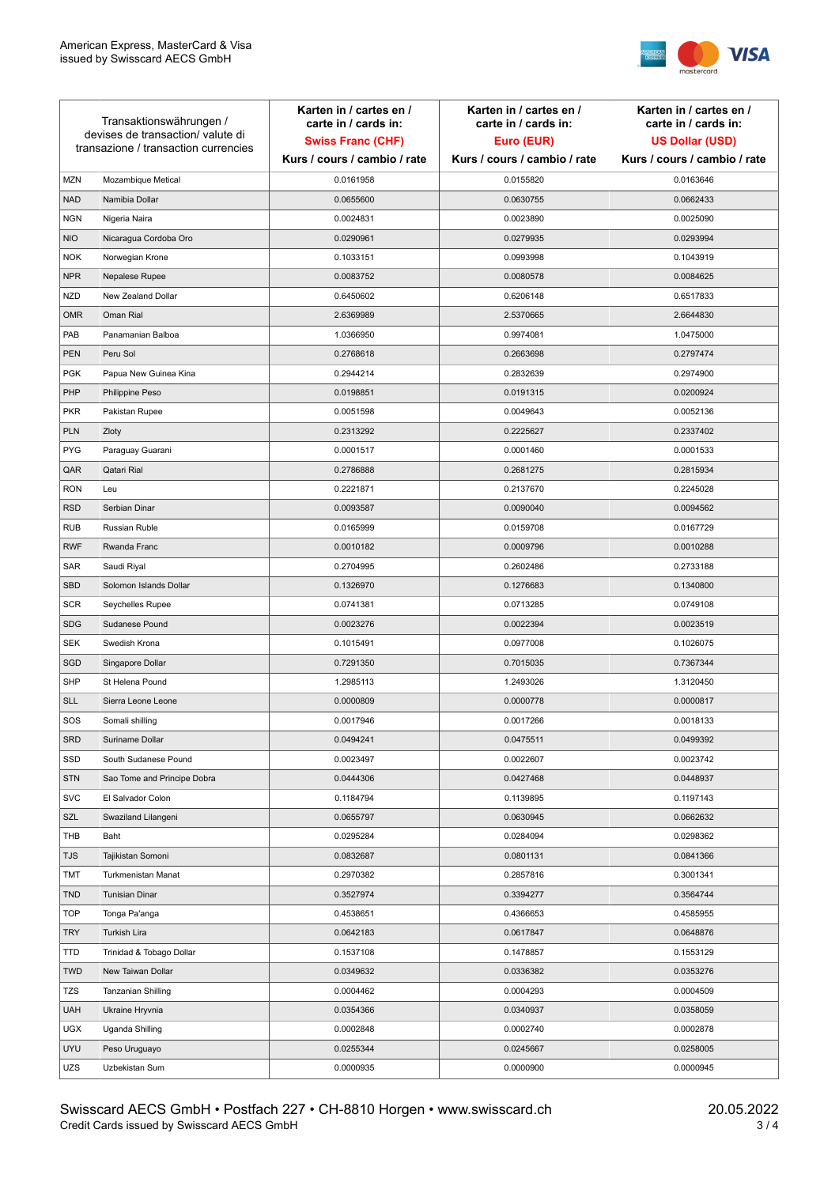

| Transaktionswährungen /<br>devises de transaction/valute di<br>transazione / transaction currencies |                             | Karten in / cartes en /<br>carte in / cards in:<br><b>Swiss Franc (CHF)</b> | Karten in / cartes en /<br>carte in / cards in:<br>Euro (EUR) | Karten in / cartes en /<br>carte in / cards in:<br><b>US Dollar (USD)</b> |
|-----------------------------------------------------------------------------------------------------|-----------------------------|-----------------------------------------------------------------------------|---------------------------------------------------------------|---------------------------------------------------------------------------|
|                                                                                                     |                             | Kurs / cours / cambio / rate                                                | Kurs / cours / cambio / rate                                  | Kurs / cours / cambio / rate                                              |
| <b>MZN</b>                                                                                          | Mozambique Metical          | 0.0161958                                                                   | 0.0155820                                                     | 0.0163646                                                                 |
| <b>NAD</b>                                                                                          | Namibia Dollar              | 0.0655600                                                                   | 0.0630755                                                     | 0.0662433                                                                 |
| <b>NGN</b>                                                                                          | Nigeria Naira               | 0.0024831                                                                   | 0.0023890                                                     | 0.0025090                                                                 |
| <b>NIO</b>                                                                                          | Nicaragua Cordoba Oro       | 0.0290961                                                                   | 0.0279935                                                     | 0.0293994                                                                 |
| <b>NOK</b>                                                                                          | Norwegian Krone             | 0.1033151                                                                   | 0.0993998                                                     | 0.1043919                                                                 |
| <b>NPR</b>                                                                                          | Nepalese Rupee              | 0.0083752                                                                   | 0.0080578                                                     | 0.0084625                                                                 |
| <b>NZD</b>                                                                                          | New Zealand Dollar          | 0.6450602                                                                   | 0.6206148                                                     | 0.6517833                                                                 |
| <b>OMR</b>                                                                                          | Oman Rial                   | 2.6369989                                                                   | 2.5370665                                                     | 2.6644830                                                                 |
| PAB                                                                                                 | Panamanian Balboa           | 1.0366950                                                                   | 0.9974081                                                     | 1.0475000                                                                 |
| <b>PEN</b>                                                                                          | Peru Sol                    | 0.2768618                                                                   | 0.2663698                                                     | 0.2797474                                                                 |
| <b>PGK</b>                                                                                          | Papua New Guinea Kina       | 0.2944214                                                                   | 0.2832639                                                     | 0.2974900                                                                 |
| PHP                                                                                                 | Philippine Peso             | 0.0198851                                                                   | 0.0191315                                                     | 0.0200924                                                                 |
| <b>PKR</b>                                                                                          | Pakistan Rupee              | 0.0051598                                                                   | 0.0049643                                                     | 0.0052136                                                                 |
| <b>PLN</b>                                                                                          | Zloty                       | 0.2313292                                                                   | 0.2225627                                                     | 0.2337402                                                                 |
| <b>PYG</b>                                                                                          | Paraguay Guarani            | 0.0001517                                                                   | 0.0001460                                                     | 0.0001533                                                                 |
| QAR                                                                                                 | Qatari Rial                 | 0.2786888                                                                   | 0.2681275                                                     | 0.2815934                                                                 |
| <b>RON</b>                                                                                          | Leu                         | 0.2221871                                                                   | 0.2137670                                                     | 0.2245028                                                                 |
| <b>RSD</b>                                                                                          | Serbian Dinar               | 0.0093587                                                                   | 0.0090040                                                     | 0.0094562                                                                 |
| <b>RUB</b>                                                                                          | Russian Ruble               | 0.0165999                                                                   | 0.0159708                                                     | 0.0167729                                                                 |
| <b>RWF</b>                                                                                          | Rwanda Franc                | 0.0010182                                                                   | 0.0009796                                                     | 0.0010288                                                                 |
| SAR                                                                                                 | Saudi Riyal                 | 0.2704995                                                                   | 0.2602486                                                     | 0.2733188                                                                 |
| <b>SBD</b>                                                                                          | Solomon Islands Dollar      | 0.1326970                                                                   | 0.1276683                                                     | 0.1340800                                                                 |
| <b>SCR</b>                                                                                          | Seychelles Rupee            | 0.0741381                                                                   | 0.0713285                                                     | 0.0749108                                                                 |
| <b>SDG</b>                                                                                          | Sudanese Pound              | 0.0023276                                                                   | 0.0022394                                                     | 0.0023519                                                                 |
| <b>SEK</b>                                                                                          | Swedish Krona               | 0.1015491                                                                   | 0.0977008                                                     | 0.1026075                                                                 |
| SGD                                                                                                 | Singapore Dollar            | 0.7291350                                                                   | 0.7015035                                                     | 0.7367344                                                                 |
| <b>SHP</b>                                                                                          | St Helena Pound             | 1.2985113                                                                   | 1.2493026                                                     | 1.3120450                                                                 |
| <b>SLL</b>                                                                                          | Sierra Leone Leone          | 0.0000809                                                                   | 0.0000778                                                     | 0.0000817                                                                 |
| SOS                                                                                                 | Somali shilling             | 0.0017946                                                                   | 0.0017266                                                     | 0.0018133                                                                 |
| SRD                                                                                                 | Suriname Dollar             | 0.0494241                                                                   | 0.0475511                                                     | 0.0499392                                                                 |
| SSD                                                                                                 | South Sudanese Pound        | 0.0023497                                                                   | 0.0022607                                                     | 0.0023742                                                                 |
| <b>STN</b>                                                                                          | Sao Tome and Principe Dobra | 0.0444306                                                                   | 0.0427468                                                     | 0.0448937                                                                 |
| <b>SVC</b>                                                                                          | El Salvador Colon           | 0.1184794                                                                   | 0.1139895                                                     | 0.1197143                                                                 |
| SZL                                                                                                 | Swaziland Lilangeni         | 0.0655797                                                                   | 0.0630945                                                     | 0.0662632                                                                 |
| THB                                                                                                 | Baht                        | 0.0295284                                                                   | 0.0284094                                                     | 0.0298362                                                                 |
| <b>TJS</b>                                                                                          | Tajikistan Somoni           | 0.0832687                                                                   | 0.0801131                                                     | 0.0841366                                                                 |
| TMT                                                                                                 | Turkmenistan Manat          | 0.2970382                                                                   | 0.2857816                                                     | 0.3001341                                                                 |
| <b>TND</b>                                                                                          | <b>Tunisian Dinar</b>       | 0.3527974                                                                   | 0.3394277                                                     | 0.3564744                                                                 |
| <b>TOP</b>                                                                                          | Tonga Pa'anga               | 0.4538651                                                                   | 0.4366653                                                     | 0.4585955                                                                 |
| <b>TRY</b>                                                                                          | Turkish Lira                | 0.0642183                                                                   | 0.0617847                                                     | 0.0648876                                                                 |
| TTD                                                                                                 | Trinidad & Tobago Dollar    | 0.1537108                                                                   | 0.1478857                                                     | 0.1553129                                                                 |
| <b>TWD</b>                                                                                          | New Taiwan Dollar           | 0.0349632                                                                   | 0.0336382                                                     | 0.0353276                                                                 |
| <b>TZS</b>                                                                                          | Tanzanian Shilling          | 0.0004462                                                                   | 0.0004293                                                     | 0.0004509                                                                 |
| <b>UAH</b>                                                                                          | Ukraine Hryvnia             | 0.0354366                                                                   | 0.0340937                                                     | 0.0358059                                                                 |
| <b>UGX</b>                                                                                          | Uganda Shilling             | 0.0002848                                                                   | 0.0002740                                                     | 0.0002878                                                                 |
| <b>UYU</b>                                                                                          | Peso Uruguayo               | 0.0255344                                                                   | 0.0245667                                                     | 0.0258005                                                                 |
| UZS                                                                                                 | Uzbekistan Sum              | 0.0000935                                                                   | 0.0000900                                                     | 0.0000945                                                                 |